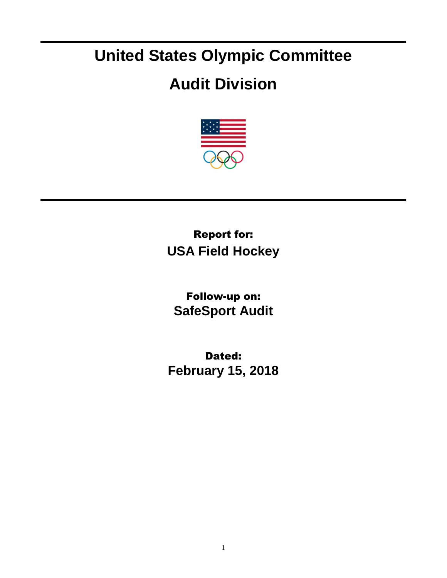## **United States Olympic Committee**

## **Audit Division**



## Report for: **USA Field Hockey**

Follow-up on: **SafeSport Audit**

Dated: **February 15, 2018**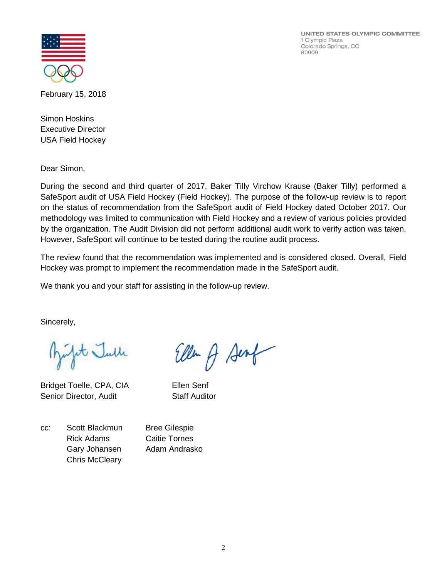UNITED STATES OLYMPIC COMMITTEE 1 Olympic Plaza Colorado Springs, CO 80909



February 15, 2018

Simon Hoskins Executive Director USA Field Hockey

Dear Simon,

During the second and third quarter of 2017, Baker Tilly Virchow Krause (Baker Tilly) performed a SafeSport audit of USA Field Hockey (Field Hockey). The purpose of the follow-up review is to report on the status of recommendation from the SafeSport audit of Field Hockey dated October 2017. Our methodology was limited to communication with Field Hockey and a review of various policies provided by the organization. The Audit Division did not perform additional audit work to verify action was taken. However, SafeSport will continue to be tested during the routine audit process.

The review found that the recommendation was implemented and is considered closed. Overall, Field Hockey was prompt to implement the recommendation made in the SafeSport audit.

Ellen A Sent

We thank you and your staff for assisting in the follow-up review.

Sincerely,

julit Tutte

Bridget Toelle, CPA, CIA Ellen Senf Senior Director, Audit Staff Auditor

cc: Scott Blackmun Bree Gilespie Rick Adams Caitie Tornes Gary Johansen Adam Andrasko Chris McCleary